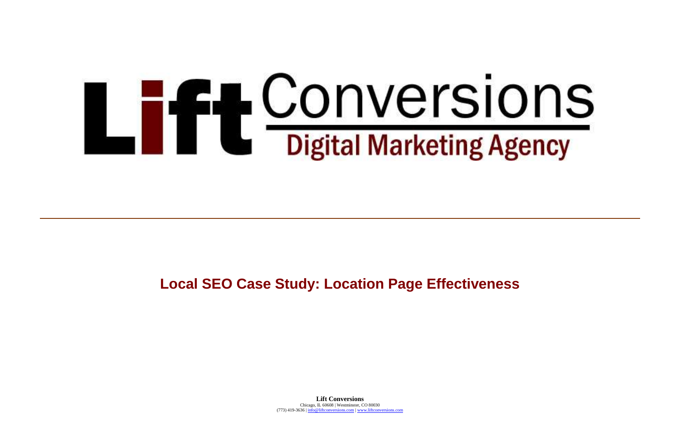**Lift Conversions** Chicago, IL 60608 | Westminster, CO 80030 (773) 419-3636 | [info@liftconversions.com](mailto:info@liftconversions.com) [| www.liftconversions.com](http://www.liftconversions.com/)



# **LEE CONVERSIONS**<br>Digital Marketing Agency

# **Local SEO Case Study: Location Page Effectiveness**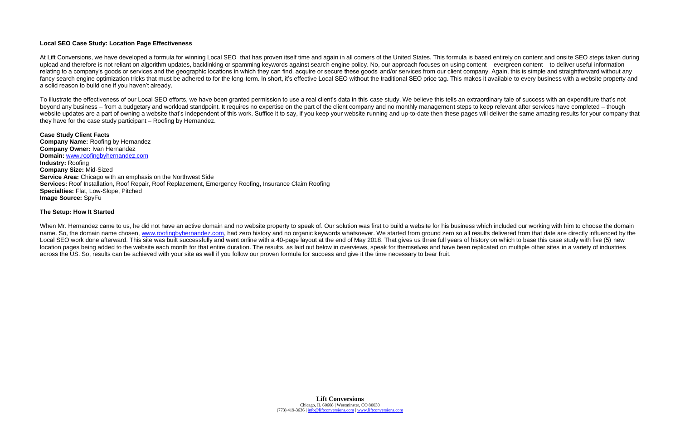### **Local SEO Case Study: Location Page Effectiveness**

At Lift Conversions, we have developed a formula for winning Local SEO that has proven itself time and again in all corners of the United States. This formula is based entirely on content and onsite SEO steps taken during upload and therefore is not reliant on algorithm updates, backlinking or spamming keywords against search engine policy. No, our approach focuses on using content – evergreen content – to deliver useful information relating to a company's goods or services and the geographic locations in which they can find, acquire or secure these goods and/or services from our client company. Again, this is simple and straightforward without any fancy search engine optimization tricks that must be adhered to for the long-term. In short, it's effective Local SEO without the traditional SEO price tag. This makes it available to every business with a website property a solid reason to build one if you haven't already.

To illustrate the effectiveness of our Local SEO efforts, we have been granted permission to use a real client's data in this case study. We believe this tells an extraordinary tale of success with an expenditure that's not beyond any business – from a budgetary and workload standpoint. It requires no expertise on the part of the client company and no monthly management steps to keep relevant after services have completed – though website updates are a part of owning a website that's independent of this work. Suffice it to say, if you keep your website running and up-to-date then these pages will deliver the same amazing results for your company tha they have for the case study participant – Roofing by Hernandez.

When Mr. Hernandez came to us, he did not have an active domain and no website property to speak of. Our solution was first to build a website for his business which included our working with him to choose the domain name. So, the domain name chosen, [www.roofingbyhernandez.com,](http://www.roofingbyhernandez.com/) had zero history and no organic keywords whatsoever. We started from ground zero so all results delivered from that date are directly influenced by the Local SEO work done afterward. This site was built successfully and went online with a 40-page layout at the end of May 2018. That gives us three full years of history on which to base this case study with five (5) new location pages being added to the website each month for that entire duration. The results, as laid out below in overviews, speak for themselves and have been replicated on multiple other sites in a variety of industries across the US. So, results can be achieved with your site as well if you follow our proven formula for success and give it the time necessary to bear fruit.

**Case Study Client Facts Company Name:** Roofing by Hernandez **Company Owner:** Ivan Hernandez **Domain:** [www.roofingbyhernandez.com](http://www.roofingbyhernandez.com/) **Industry:** Roofing **Company Size:** Mid-Sized **Service Area:** Chicago with an emphasis on the Northwest Side **Services:** Roof Installation, Roof Repair, Roof Replacement, Emergency Roofing, Insurance Claim Roofing **Specialties:** Flat, Low-Slope, Pitched **Image Source:** SpyFu

### **The Setup: How It Started**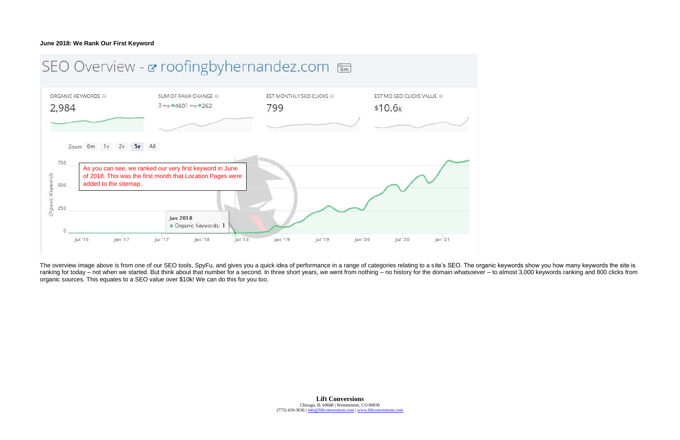The overview image above is from one of our SEO tools, SpyFu, and gives you a quick idea of performance in a range of categories relating to a site's SEO. The organic keywords show you how many keywords the site is ranking for today – not when we started. But think about that number for a second. In three short years, we went from nothing – no history for the domain whatsoever – to almost 3,000 keywords ranking and 800 clicks from organic sources. This equates to a SEO value over \$10k! We can do this for you too.

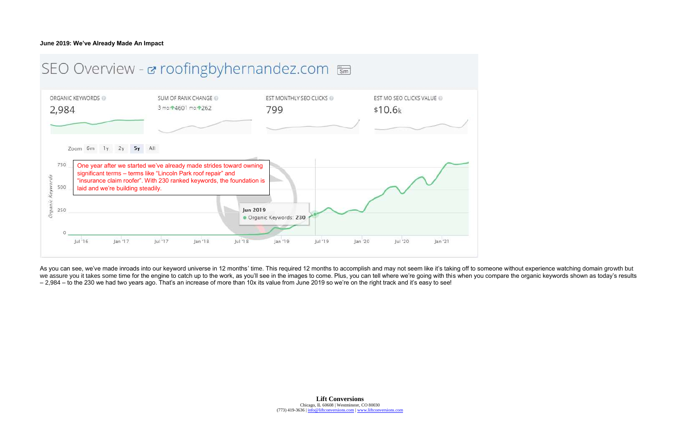As you can see, we've made inroads into our keyword universe in 12 months' time. This required 12 months to accomplish and may not seem like it's taking off to someone without experience watching domain growth but we assure you it takes some time for the engine to catch up to the work, as you'll see in the images to come. Plus, you can tell where we're going with this when you compare the organic keywords shown as today's results – 2,984 – to the 230 we had two years ago. That's an increase of more than 10x its value from June 2019 so we're on the right track and it's easy to see!

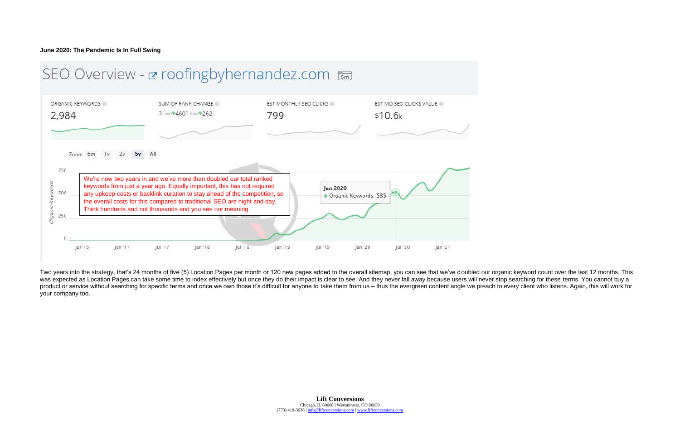Two years into the strategy, that's 24 months of five (5) Location Pages per month or 120 new pages added to the overall sitemap, you can see that we've doubled our organic keyword count over the last 12 months. This was expected as Location Pages can take some time to index effectively but once they do their impact is clear to see. And they never fall away because users will never stop searching for these terms. You cannot buy a product or service without searching for specific terms and once we own those it's difficult for anyone to take them from us – thus the evergreen content angle we preach to every client who listens. Again, this will work f your company too.